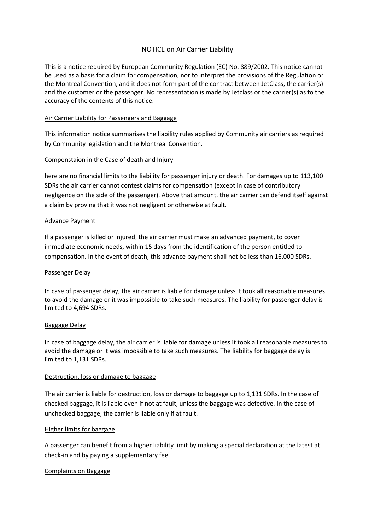### NOTICE on Air Carrier Liability

This is a notice required by European Community Regulation (EC) No. 889/2002. This notice cannot be used as a basis for a claim for compensation, nor to interpret the provisions of the Regulation or the Montreal Convention, and it does not form part of the contract between JetClass, the carrier(s) and the customer or the passenger. No representation is made by Jetclass or the carrier(s) as to the accuracy of the contents of this notice.

#### Air Carrier Liability for Passengers and Baggage

This information notice summarises the liability rules applied by Community air carriers as required by Community legislation and the Montreal Convention.

### Compenstaion in the Case of death and Injury

here are no financial limits to the liability for passenger injury or death. For damages up to 113,100 SDRs the air carrier cannot contest claims for compensation (except in case of contributory negligence on the side of the passenger). Above that amount, the air carrier can defend itself against a claim by proving that it was not negligent or otherwise at fault.

#### Advance Payment

If a passenger is killed or injured, the air carrier must make an advanced payment, to cover immediate economic needs, within 15 days from the identification of the person entitled to compensation. In the event of death, this advance payment shall not be less than 16,000 SDRs.

#### Passenger Delay

In case of passenger delay, the air carrier is liable for damage unless it took all reasonable measures to avoid the damage or it was impossible to take such measures. The liability for passenger delay is limited to 4,694 SDRs.

#### Baggage Delay

In case of baggage delay, the air carrier is liable for damage unless it took all reasonable measures to avoid the damage or it was impossible to take such measures. The liability for baggage delay is limited to 1,131 SDRs.

#### Destruction, loss or damage to baggage

The air carrier is liable for destruction, loss or damage to baggage up to 1,131 SDRs. In the case of checked baggage, it is liable even if not at fault, unless the baggage was defective. In the case of unchecked baggage, the carrier is liable only if at fault.

#### Higher limits for baggage

A passenger can benefit from a higher liability limit by making a special declaration at the latest at check-in and by paying a supplementary fee.

#### Complaints on Baggage